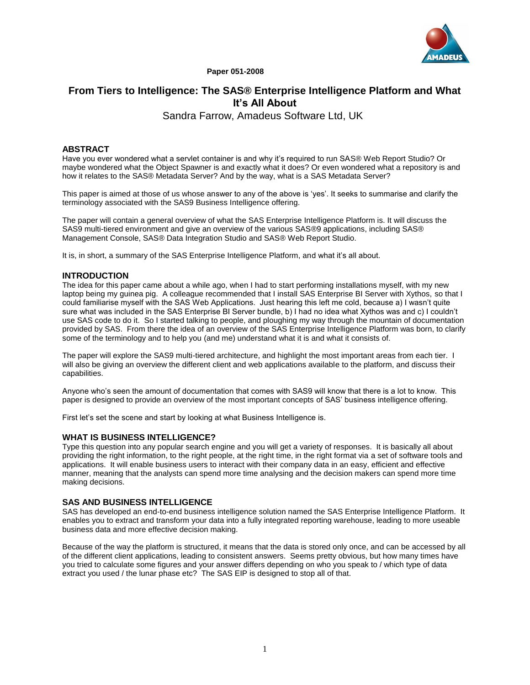

**Paper 051-2008**

# **From Tiers to Intelligence: The SAS® Enterprise Intelligence Platform and What It's All About**

Sandra Farrow, Amadeus Software Ltd, UK

# **ABSTRACT**

Have you ever wondered what a servlet container is and why it's required to run SAS® Web Report Studio? Or maybe wondered what the Object Spawner is and exactly what it does? Or even wondered what a repository is and how it relates to the SAS® Metadata Server? And by the way, what is a SAS Metadata Server?

This paper is aimed at those of us whose answer to any of the above is 'yes'. It seeks to summarise and clarify the terminology associated with the SAS9 Business Intelligence offering.

The paper will contain a general overview of what the SAS Enterprise Intelligence Platform is. It will discuss the SAS9 multi-tiered environment and give an overview of the various SAS®9 applications, including SAS® Management Console, SAS® Data Integration Studio and SAS® Web Report Studio.

It is, in short, a summary of the SAS Enterprise Intelligence Platform, and what it's all about.

# **INTRODUCTION**

The idea for this paper came about a while ago, when I had to start performing installations myself, with my new laptop being my guinea pig. A colleague recommended that I install SAS Enterprise BI Server with Xythos, so that I could familiarise myself with the SAS Web Applications. Just hearing this left me cold, because a) I wasn't quite sure what was included in the SAS Enterprise BI Server bundle, b) I had no idea what Xythos was and c) I couldn't use SAS code to do it. So I started talking to people, and ploughing my way through the mountain of documentation provided by SAS. From there the idea of an overview of the SAS Enterprise Intelligence Platform was born, to clarify some of the terminology and to help you (and me) understand what it is and what it consists of.

The paper will explore the SAS9 multi-tiered architecture, and highlight the most important areas from each tier. I will also be giving an overview the different client and web applications available to the platform, and discuss their capabilities.

Anyone who's seen the amount of documentation that comes with SAS9 will know that there is a lot to know. This paper is designed to provide an overview of the most important concepts of SAS' business intelligence offering.

First let's set the scene and start by looking at what Business Intelligence is.

# **WHAT IS BUSINESS INTELLIGENCE?**

Type this question into any popular search engine and you will get a variety of responses. It is basically all about providing the right information, to the right people, at the right time, in the right format via a set of software tools and applications. It will enable business users to interact with their company data in an easy, efficient and effective manner, meaning that the analysts can spend more time analysing and the decision makers can spend more time making decisions.

# **SAS AND BUSINESS INTELLIGENCE**

SAS has developed an end-to-end business intelligence solution named the SAS Enterprise Intelligence Platform. It enables you to extract and transform your data into a fully integrated reporting warehouse, leading to more useable business data and more effective decision making.

Because of the way the platform is structured, it means that the data is stored only once, and can be accessed by all of the different client applications, leading to consistent answers. Seems pretty obvious, but how many times have you tried to calculate some figures and your answer differs depending on who you speak to / which type of data extract you used / the lunar phase etc? The SAS EIP is designed to stop all of that.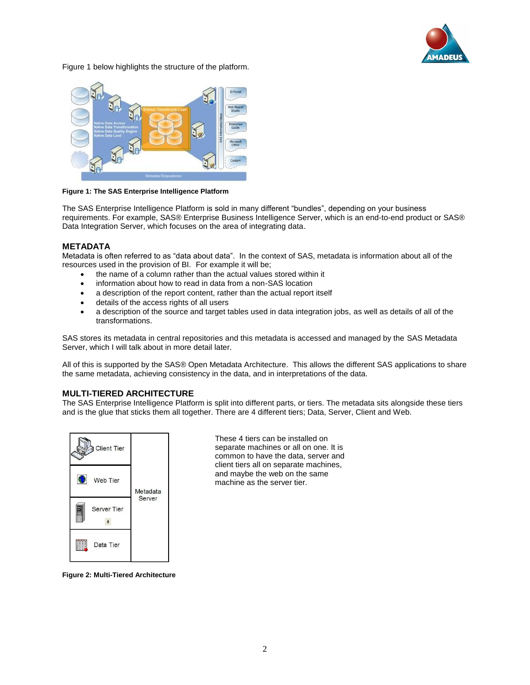

Figure 1 below highlights the structure of the platform.



**Figure 1: The SAS Enterprise Intelligence Platform**

The SAS Enterprise Intelligence Platform is sold in many different "bundles", depending on your business requirements. For example, SAS® Enterprise Business Intelligence Server, which is an end-to-end product or SAS® Data Integration Server, which focuses on the area of integrating data.

# **METADATA**

Metadata is often referred to as "data about data". In the context of SAS, metadata is information about all of the resources used in the provision of BI. For example it will be;

- the name of a column rather than the actual values stored within it
- information about how to read in data from a non-SAS location
- a description of the report content, rather than the actual report itself
- details of the access rights of all users
- a description of the source and target tables used in data integration jobs, as well as details of all of the transformations.

SAS stores its metadata in central repositories and this metadata is accessed and managed by the SAS Metadata Server, which I will talk about in more detail later.

All of this is supported by the SAS® Open Metadata Architecture. This allows the different SAS applications to share the same metadata, achieving consistency in the data, and in interpretations of the data.

# **MULTI-TIERED ARCHITECTURE**

The SAS Enterprise Intelligence Platform is split into different parts, or tiers. The metadata sits alongside these tiers and is the glue that sticks them all together. There are 4 different tiers; Data, Server, Client and Web.



These 4 tiers can be installed on separate machines or all on one. It is common to have the data, server and client tiers all on separate machines, and maybe the web on the same machine as the server tier.

**Figure 2: Multi-Tiered Architecture**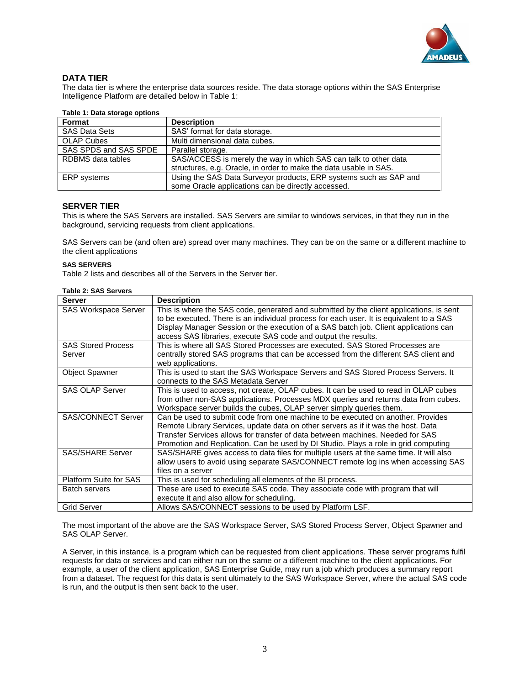

# **DATA TIER**

The data tier is where the enterprise data sources reside. The data storage options within the SAS Enterprise Intelligence Platform are detailed below in Table 1:

| rapic 1. Data storage options |                                                                   |  |
|-------------------------------|-------------------------------------------------------------------|--|
| Format                        | <b>Description</b>                                                |  |
| <b>SAS Data Sets</b>          | SAS' format for data storage.                                     |  |
| <b>OLAP Cubes</b>             | Multi dimensional data cubes.                                     |  |
| SAS SPDS and SAS SPDE         | Parallel storage.                                                 |  |
| RDBMS data tables             | SAS/ACCESS is merely the way in which SAS can talk to other data  |  |
|                               | structures, e.g. Oracle, in order to make the data usable in SAS. |  |
| ERP systems                   | Using the SAS Data Surveyor products, ERP systems such as SAP and |  |
|                               | some Oracle applications can be directly accessed.                |  |

# **Table 1: Data storage options**

# **SERVER TIER**

This is where the SAS Servers are installed. SAS Servers are similar to windows services, in that they run in the background, servicing requests from client applications.

SAS Servers can be (and often are) spread over many machines. They can be on the same or a different machine to the client applications

#### **SAS SERVERS**

Table 2 lists and describes all of the Servers in the Server tier.

#### **Table 2: SAS Servers**

| <b>Server</b>                 | <b>Description</b>                                                                      |
|-------------------------------|-----------------------------------------------------------------------------------------|
| SAS Workspace Server          | This is where the SAS code, generated and submitted by the client applications, is sent |
|                               | to be executed. There is an individual process for each user. It is equivalent to a SAS |
|                               | Display Manager Session or the execution of a SAS batch job. Client applications can    |
|                               | access SAS libraries, execute SAS code and output the results.                          |
| <b>SAS Stored Process</b>     | This is where all SAS Stored Processes are executed. SAS Stored Processes are           |
| Server                        | centrally stored SAS programs that can be accessed from the different SAS client and    |
|                               | web applications.                                                                       |
| <b>Object Spawner</b>         | This is used to start the SAS Workspace Servers and SAS Stored Process Servers. It      |
|                               | connects to the SAS Metadata Server                                                     |
| <b>SAS OLAP Server</b>        | This is used to access, not create, OLAP cubes. It can be used to read in OLAP cubes    |
|                               | from other non-SAS applications. Processes MDX queries and returns data from cubes.     |
|                               | Workspace server builds the cubes, OLAP server simply queries them.                     |
| <b>SAS/CONNECT Server</b>     | Can be used to submit code from one machine to be executed on another. Provides         |
|                               | Remote Library Services, update data on other servers as if it was the host. Data       |
|                               | Transfer Services allows for transfer of data between machines. Needed for SAS          |
|                               | Promotion and Replication. Can be used by DI Studio. Plays a role in grid computing     |
| <b>SAS/SHARE Server</b>       | SAS/SHARE gives access to data files for multiple users at the same time. It will also  |
|                               | allow users to avoid using separate SAS/CONNECT remote log ins when accessing SAS       |
|                               | files on a server                                                                       |
| <b>Platform Suite for SAS</b> | This is used for scheduling all elements of the BI process.                             |
| <b>Batch servers</b>          | These are used to execute SAS code. They associate code with program that will          |
|                               | execute it and also allow for scheduling.                                               |
| <b>Grid Server</b>            | Allows SAS/CONNECT sessions to be used by Platform LSF.                                 |

The most important of the above are the SAS Workspace Server, SAS Stored Process Server, Object Spawner and SAS OLAP Server.

A Server, in this instance, is a program which can be requested from client applications. These server programs fulfil requests for data or services and can either run on the same or a different machine to the client applications. For example, a user of the client application, SAS Enterprise Guide, may run a job which produces a summary report from a dataset. The request for this data is sent ultimately to the SAS Workspace Server, where the actual SAS code is run, and the output is then sent back to the user.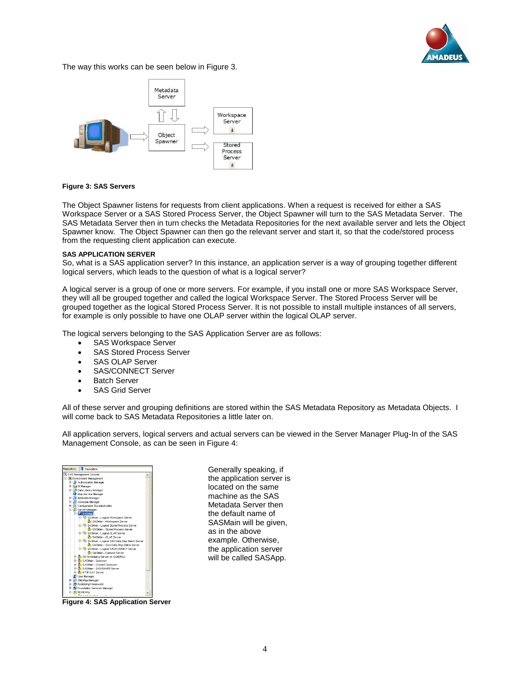

The way this works can be seen below in Figure 3.



#### **Figure 3: SAS Servers**

The Object Spawner listens for requests from client applications. When a request is received for either a SAS Workspace Server or a SAS Stored Process Server, the Object Spawner will turn to the SAS Metadata Server. The SAS Metadata Server then in turn checks the Metadata Repositories for the next available server and lets the Object Spawner know. The Object Spawner can then go the relevant server and start it, so that the code/stored process from the requesting client application can execute.

#### **SAS APPLICATION SERVER**

So, what is a SAS application server? In this instance, an application server is a way of grouping together different logical servers, which leads to the question of what is a logical server?

A logical server is a group of one or more servers. For example, if you install one or more SAS Workspace Server, they will all be grouped together and called the logical Workspace Server. The Stored Process Server will be grouped together as the logical Stored Process Server. It is not possible to install multiple instances of all servers, for example is only possible to have one OLAP server within the logical OLAP server.

The logical servers belonging to the SAS Application Server are as follows:

- SAS Workspace Server
- SAS Stored Process Server
- SAS OLAP Server
- SAS/CONNECT Server
- **Batch Server**
- SAS Grid Server

All of these server and grouping definitions are stored within the SAS Metadata Repository as Metadata Objects. I will come back to SAS Metadata Repositories a little later on.

All application servers, logical servers and actual servers can be viewed in the Server Manager Plug-In of the SAS Management Console, as can be seen in Figure 4:



**Figure 4: SAS Application Server**

Generally speaking, if the application server is located on the same machine as the SAS Metadata Server then the default name of SASMain will be given, as in the above example. Otherwise, the application server will be called SASApp.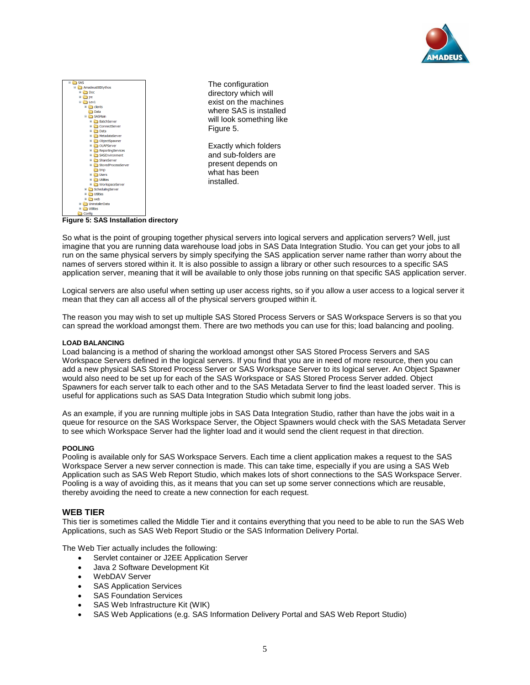



directory which will exist on the machines where SAS is installed will look something like Exactly which folders and sub-folders are

So what is the point of grouping together physical servers into logical servers and application servers? Well, just

imagine that you are running data warehouse load jobs in SAS Data Integration Studio. You can get your jobs to all run on the same physical servers by simply specifying the SAS application server name rather than worry about the names of servers stored within it. It is also possible to assign a library or other such resources to a specific SAS application server, meaning that it will be available to only those jobs running on that specific SAS application server.

Logical servers are also useful when setting up user access rights, so if you allow a user access to a logical server it mean that they can all access all of the physical servers grouped within it.

The reason you may wish to set up multiple SAS Stored Process Servers or SAS Workspace Servers is so that you can spread the workload amongst them. There are two methods you can use for this; load balancing and pooling.

# **LOAD BALANCING**

Load balancing is a method of sharing the workload amongst other SAS Stored Process Servers and SAS Workspace Servers defined in the logical servers. If you find that you are in need of more resource, then you can add a new physical SAS Stored Process Server or SAS Workspace Server to its logical server. An Object Spawner would also need to be set up for each of the SAS Workspace or SAS Stored Process Server added. Object Spawners for each server talk to each other and to the SAS Metadata Server to find the least loaded server. This is useful for applications such as SAS Data Integration Studio which submit long jobs.

As an example, if you are running multiple jobs in SAS Data Integration Studio, rather than have the jobs wait in a queue for resource on the SAS Workspace Server, the Object Spawners would check with the SAS Metadata Server to see which Workspace Server had the lighter load and it would send the client request in that direction.

#### **POOLING**

Pooling is available only for SAS Workspace Servers. Each time a client application makes a request to the SAS Workspace Server a new server connection is made. This can take time, especially if you are using a SAS Web Application such as SAS Web Report Studio, which makes lots of short connections to the SAS Workspace Server. Pooling is a way of avoiding this, as it means that you can set up some server connections which are reusable, thereby avoiding the need to create a new connection for each request.

#### **WEB TIER**

This tier is sometimes called the Middle Tier and it contains everything that you need to be able to run the SAS Web Applications, such as SAS Web Report Studio or the SAS Information Delivery Portal.

The Web Tier actually includes the following:

- Servlet container or J2EE Application Server
- Java 2 Software Development Kit
- WebDAV Server
- SAS Application Services
- SAS Foundation Services
- SAS Web Infrastructure Kit (WIK)
- SAS Web Applications (e.g. SAS Information Delivery Portal and SAS Web Report Studio)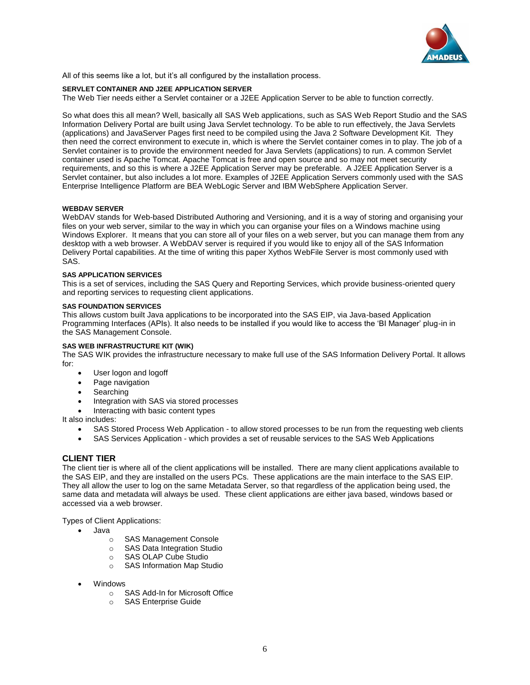

All of this seems like a lot, but it's all configured by the installation process.

#### **SERVLET CONTAINER AND J2EE APPLICATION SERVER**

The Web Tier needs either a Servlet container or a J2EE Application Server to be able to function correctly.

So what does this all mean? Well, basically all SAS Web applications, such as SAS Web Report Studio and the SAS Information Delivery Portal are built using Java Servlet technology. To be able to run effectively, the Java Servlets (applications) and JavaServer Pages first need to be compiled using the Java 2 Software Development Kit. They then need the correct environment to execute in, which is where the Servlet container comes in to play. The job of a Servlet container is to provide the environment needed for Java Servlets (applications) to run. A common Servlet container used is Apache Tomcat. Apache Tomcat is free and open source and so may not meet security requirements, and so this is where a J2EE Application Server may be preferable. A J2EE Application Server is a Servlet container, but also includes a lot more. Examples of J2EE Application Servers commonly used with the SAS Enterprise Intelligence Platform are BEA WebLogic Server and IBM WebSphere Application Server.

#### **WEBDAV SERVER**

WebDAV stands for Web-based Distributed Authoring and Versioning, and it is a way of storing and organising your files on your web server, similar to the way in which you can organise your files on a Windows machine using Windows Explorer. It means that you can store all of your files on a web server, but you can manage them from any desktop with a web browser. A WebDAV server is required if you would like to enjoy all of the SAS Information Delivery Portal capabilities. At the time of writing this paper Xythos WebFile Server is most commonly used with SAS.

#### **SAS APPLICATION SERVICES**

This is a set of services, including the SAS Query and Reporting Services, which provide business-oriented query and reporting services to requesting client applications.

#### **SAS FOUNDATION SERVICES**

This allows custom built Java applications to be incorporated into the SAS EIP, via Java-based Application Programming Interfaces (APIs). It also needs to be installed if you would like to access the 'BI Manager' plug-in in the SAS Management Console.

# **SAS WEB INFRASTRUCTURE KIT (WIK)**

The SAS WIK provides the infrastructure necessary to make full use of the SAS Information Delivery Portal. It allows for:

- User logon and logoff
- Page navigation
- Searching
- Integration with SAS via stored processes
- Interacting with basic content types

It also includes:

- SAS Stored Process Web Application to allow stored processes to be run from the requesting web clients
- SAS Services Application which provides a set of reusable services to the SAS Web Applications

# **CLIENT TIER**

The client tier is where all of the client applications will be installed. There are many client applications available to the SAS EIP, and they are installed on the users PCs. These applications are the main interface to the SAS EIP. They all allow the user to log on the same Metadata Server, so that regardless of the application being used, the same data and metadata will always be used. These client applications are either java based, windows based or accessed via a web browser.

Types of Client Applications:

- Java
	- o SAS Management Console
	- o SAS Data Integration Studio
	- o SAS OLAP Cube Studio
	- o SAS Information Map Studio
- Windows
	- o SAS Add-In for Microsoft Office
	- o SAS Enterprise Guide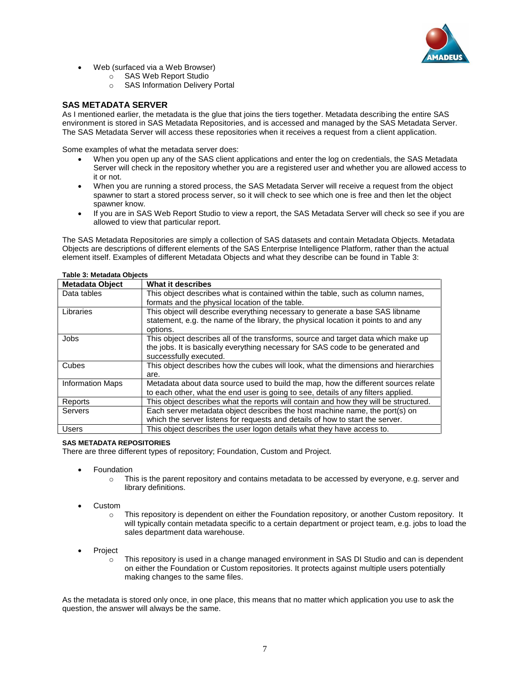

- Web (surfaced via a Web Browser)
	- o SAS Web Report Studio
	- o SAS Information Delivery Portal

# **SAS METADATA SERVER**

As I mentioned earlier, the metadata is the glue that joins the tiers together. Metadata describing the entire SAS environment is stored in SAS Metadata Repositories, and is accessed and managed by the SAS Metadata Server. The SAS Metadata Server will access these repositories when it receives a request from a client application.

Some examples of what the metadata server does:

- When you open up any of the SAS client applications and enter the log on credentials, the SAS Metadata Server will check in the repository whether you are a registered user and whether you are allowed access to it or not.
- When you are running a stored process, the SAS Metadata Server will receive a request from the object spawner to start a stored process server, so it will check to see which one is free and then let the object spawner know.
- If you are in SAS Web Report Studio to view a report, the SAS Metadata Server will check so see if you are allowed to view that particular report.

The SAS Metadata Repositories are simply a collection of SAS datasets and contain Metadata Objects. Metadata Objects are descriptions of different elements of the SAS Enterprise Intelligence Platform, rather than the actual element itself. Examples of different Metadata Objects and what they describe can be found in Table 3:

#### **Table 3: Metadata Objects**

| <b>Metadata Object</b>  | What it describes                                                                                                                                                                              |
|-------------------------|------------------------------------------------------------------------------------------------------------------------------------------------------------------------------------------------|
| Data tables             | This object describes what is contained within the table, such as column names,<br>formats and the physical location of the table.                                                             |
| Libraries               | This object will describe everything necessary to generate a base SAS libname<br>statement, e.g. the name of the library, the physical location it points to and any<br>options.               |
| Jobs                    | This object describes all of the transforms, source and target data which make up<br>the jobs. It is basically everything necessary for SAS code to be generated and<br>successfully executed. |
| Cubes                   | This object describes how the cubes will look, what the dimensions and hierarchies<br>are.                                                                                                     |
| <b>Information Maps</b> | Metadata about data source used to build the map, how the different sources relate<br>to each other, what the end user is going to see, details of any filters applied.                        |
| Reports                 | This object describes what the reports will contain and how they will be structured.                                                                                                           |
| Servers                 | Each server metadata object describes the host machine name, the port(s) on<br>which the server listens for requests and details of how to start the server.                                   |
| <b>Users</b>            | This object describes the user logon details what they have access to.                                                                                                                         |

# **SAS METADATA REPOSITORIES**

There are three different types of repository; Foundation, Custom and Project.

- **Foundation** 
	- $\circ$  This is the parent repository and contains metadata to be accessed by everyone, e.g. server and library definitions.
- Custom
	- $\circ$  This repository is dependent on either the Foundation repository, or another Custom repository. It will typically contain metadata specific to a certain department or project team, e.g. jobs to load the sales department data warehouse.
- **Project** 
	- $\circ$  This repository is used in a change managed environment in SAS DI Studio and can is dependent on either the Foundation or Custom repositories. It protects against multiple users potentially making changes to the same files.

As the metadata is stored only once, in one place, this means that no matter which application you use to ask the question, the answer will always be the same.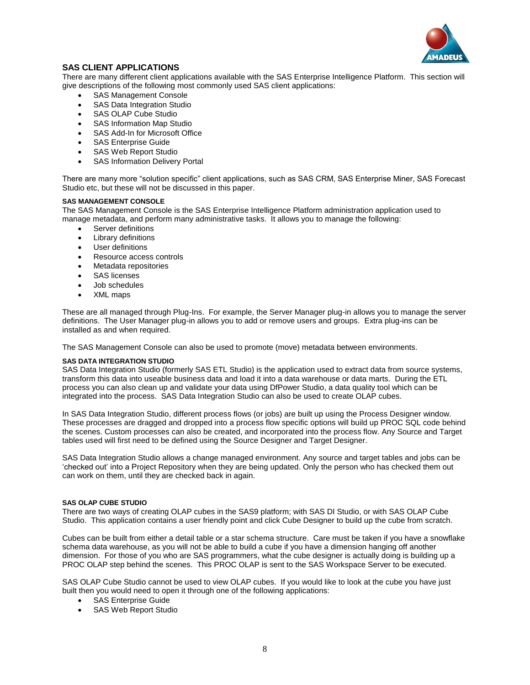

# **SAS CLIENT APPLICATIONS**

There are many different client applications available with the SAS Enterprise Intelligence Platform. This section will give descriptions of the following most commonly used SAS client applications:

- SAS Management Console
- SAS Data Integration Studio
- SAS OLAP Cube Studio
- SAS Information Map Studio
- SAS Add-In for Microsoft Office
- SAS Enterprise Guide
- SAS Web Report Studio
- SAS Information Delivery Portal

There are many more "solution specific" client applications, such as SAS CRM, SAS Enterprise Miner, SAS Forecast Studio etc, but these will not be discussed in this paper.

# **SAS MANAGEMENT CONSOLE**

The SAS Management Console is the SAS Enterprise Intelligence Platform administration application used to manage metadata, and perform many administrative tasks. It allows you to manage the following:

- Server definitions
- Library definitions
- User definitions
- Resource access controls
- Metadata repositories
- SAS licenses
- Job schedules
- XML maps

These are all managed through Plug-Ins. For example, the Server Manager plug-in allows you to manage the server definitions. The User Manager plug-in allows you to add or remove users and groups. Extra plug-ins can be installed as and when required.

The SAS Management Console can also be used to promote (move) metadata between environments.

# **SAS DATA INTEGRATION STUDIO**

SAS Data Integration Studio (formerly SAS ETL Studio) is the application used to extract data from source systems, transform this data into useable business data and load it into a data warehouse or data marts. During the ETL process you can also clean up and validate your data using DfPower Studio, a data quality tool which can be integrated into the process. SAS Data Integration Studio can also be used to create OLAP cubes.

In SAS Data Integration Studio, different process flows (or jobs) are built up using the Process Designer window. These processes are dragged and dropped into a process flow specific options will build up PROC SQL code behind the scenes. Custom processes can also be created, and incorporated into the process flow. Any Source and Target tables used will first need to be defined using the Source Designer and Target Designer.

SAS Data Integration Studio allows a change managed environment. Any source and target tables and jobs can be 'checked out' into a Project Repository when they are being updated. Only the person who has checked them out can work on them, until they are checked back in again.

# **SAS OLAP CUBE STUDIO**

There are two ways of creating OLAP cubes in the SAS9 platform; with SAS DI Studio, or with SAS OLAP Cube Studio. This application contains a user friendly point and click Cube Designer to build up the cube from scratch.

Cubes can be built from either a detail table or a star schema structure. Care must be taken if you have a snowflake schema data warehouse, as you will not be able to build a cube if you have a dimension hanging off another dimension. For those of you who are SAS programmers, what the cube designer is actually doing is building up a PROC OLAP step behind the scenes. This PROC OLAP is sent to the SAS Workspace Server to be executed.

SAS OLAP Cube Studio cannot be used to view OLAP cubes. If you would like to look at the cube you have just built then you would need to open it through one of the following applications:

- SAS Enterprise Guide
- SAS Web Report Studio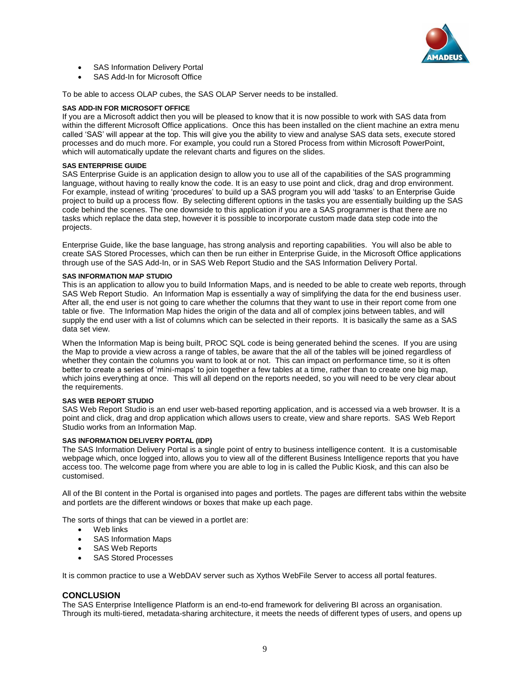

- SAS Information Delivery Portal
- SAS Add-In for Microsoft Office

To be able to access OLAP cubes, the SAS OLAP Server needs to be installed.

### **SAS ADD-IN FOR MICROSOFT OFFICE**

If you are a Microsoft addict then you will be pleased to know that it is now possible to work with SAS data from within the different Microsoft Office applications. Once this has been installed on the client machine an extra menu called 'SAS' will appear at the top. This will give you the ability to view and analyse SAS data sets, execute stored processes and do much more. For example, you could run a Stored Process from within Microsoft PowerPoint, which will automatically update the relevant charts and figures on the slides.

#### **SAS ENTERPRISE GUIDE**

SAS Enterprise Guide is an application design to allow you to use all of the capabilities of the SAS programming language, without having to really know the code. It is an easy to use point and click, drag and drop environment. For example, instead of writing 'procedures' to build up a SAS program you will add 'tasks' to an Enterprise Guide project to build up a process flow. By selecting different options in the tasks you are essentially building up the SAS code behind the scenes. The one downside to this application if you are a SAS programmer is that there are no tasks which replace the data step, however it is possible to incorporate custom made data step code into the projects.

Enterprise Guide, like the base language, has strong analysis and reporting capabilities. You will also be able to create SAS Stored Processes, which can then be run either in Enterprise Guide, in the Microsoft Office applications through use of the SAS Add-In, or in SAS Web Report Studio and the SAS Information Delivery Portal.

#### **SAS INFORMATION MAP STUDIO**

This is an application to allow you to build Information Maps, and is needed to be able to create web reports, through SAS Web Report Studio. An Information Map is essentially a way of simplifying the data for the end business user. After all, the end user is not going to care whether the columns that they want to use in their report come from one table or five. The Information Map hides the origin of the data and all of complex joins between tables, and will supply the end user with a list of columns which can be selected in their reports. It is basically the same as a SAS data set view.

When the Information Map is being built, PROC SQL code is being generated behind the scenes. If you are using the Map to provide a view across a range of tables, be aware that the all of the tables will be joined regardless of whether they contain the columns you want to look at or not. This can impact on performance time, so it is often better to create a series of 'mini-maps' to join together a few tables at a time, rather than to create one big map, which joins everything at once. This will all depend on the reports needed, so you will need to be very clear about the requirements.

# **SAS WEB REPORT STUDIO**

SAS Web Report Studio is an end user web-based reporting application, and is accessed via a web browser. It is a point and click, drag and drop application which allows users to create, view and share reports. SAS Web Report Studio works from an Information Map.

# **SAS INFORMATION DELIVERY PORTAL (IDP)**

The SAS Information Delivery Portal is a single point of entry to business intelligence content. It is a customisable webpage which, once logged into, allows you to view all of the different Business Intelligence reports that you have access too. The welcome page from where you are able to log in is called the Public Kiosk, and this can also be customised.

All of the BI content in the Portal is organised into pages and portlets. The pages are different tabs within the website and portlets are the different windows or boxes that make up each page.

The sorts of things that can be viewed in a portlet are:

- Web links
- SAS Information Maps
- SAS Web Reports
- SAS Stored Processes

It is common practice to use a WebDAV server such as Xythos WebFile Server to access all portal features.

# **CONCLUSION**

The SAS Enterprise Intelligence Platform is an end-to-end framework for delivering BI across an organisation. Through its multi-tiered, metadata-sharing architecture, it meets the needs of different types of users, and opens up